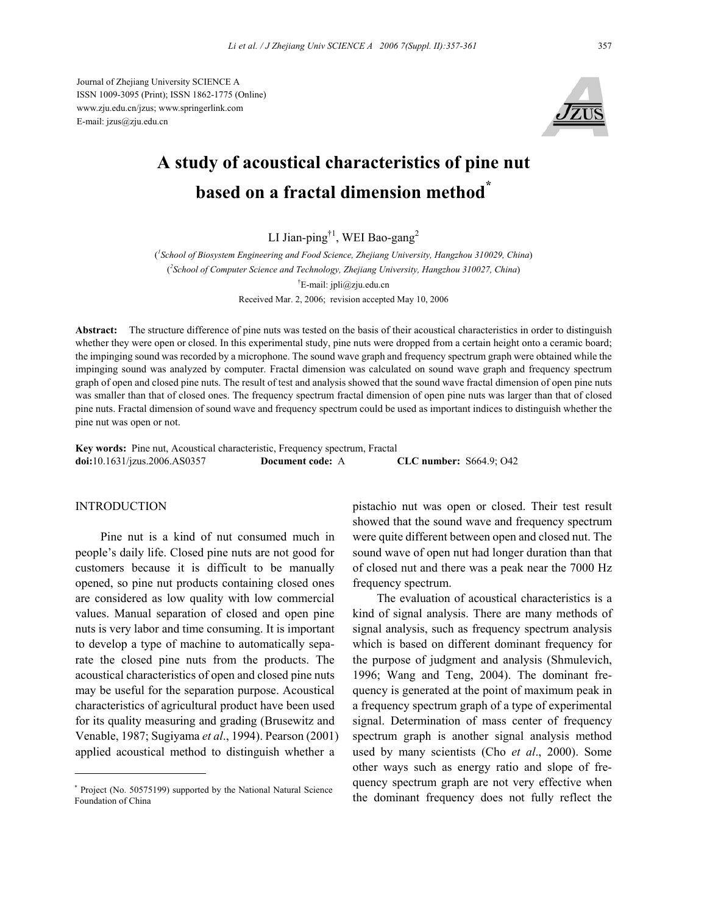Journal of Zhejiang University SCIENCE A ISSN 1009-3095 (Print); ISSN 1862-1775 (Online) www.zju.edu.cn/jzus; www.springerlink.com E-mail: jzus@zju.edu.cn



# **A study of acoustical characteristics of pine nut based on a fractal dimension method**<sup>\*</sup>

LI Jian-ping<sup>†1</sup>, WEI Bao-gang<sup>2</sup>

( *1 School of Biosystem Engineering and Food Science, Zhejiang University, Hangzhou 310029, China*) ( *2 School of Computer Science and Technology, Zhejiang University, Hangzhou 310027, China*) † E-mail: jpli@zju.edu.cn Received Mar. 2, 2006; revision accepted May 10, 2006

**Abstract:** The structure difference of pine nuts was tested on the basis of their acoustical characteristics in order to distinguish whether they were open or closed. In this experimental study, pine nuts were dropped from a certain height onto a ceramic board; the impinging sound was recorded by a microphone. The sound wave graph and frequency spectrum graph were obtained while the impinging sound was analyzed by computer. Fractal dimension was calculated on sound wave graph and frequency spectrum graph of open and closed pine nuts. The result of test and analysis showed that the sound wave fractal dimension of open pine nuts was smaller than that of closed ones. The frequency spectrum fractal dimension of open pine nuts was larger than that of closed pine nuts. Fractal dimension of sound wave and frequency spectrum could be used as important indices to distinguish whether the pine nut was open or not.

**Key words:** Pine nut, Acoustical characteristic, Frequency spectrum, Fractal **doi:**10.1631/jzus.2006.AS0357 **Document code:** A **CLC number:** S664.9; O42

#### INTRODUCTION

Pine nut is a kind of nut consumed much in people's daily life. Closed pine nuts are not good for customers because it is difficult to be manually opened, so pine nut products containing closed ones are considered as low quality with low commercial values. Manual separation of closed and open pine nuts is very labor and time consuming. It is important to develop a type of machine to automatically separate the closed pine nuts from the products. The acoustical characteristics of open and closed pine nuts may be useful for the separation purpose. Acoustical characteristics of agricultural product have been used for its quality measuring and grading (Brusewitz and Venable, 1987; Sugiyama *et al*., 1994). Pearson (2001) applied acoustical method to distinguish whether a

pistachio nut was open or closed. Their test result showed that the sound wave and frequency spectrum were quite different between open and closed nut. The sound wave of open nut had longer duration than that of closed nut and there was a peak near the 7000 Hz frequency spectrum.

The evaluation of acoustical characteristics is a kind of signal analysis. There are many methods of signal analysis, such as frequency spectrum analysis which is based on different dominant frequency for the purpose of judgment and analysis (Shmulevich, 1996; Wang and Teng, 2004). The dominant frequency is generated at the point of maximum peak in a frequency spectrum graph of a type of experimental signal. Determination of mass center of frequency spectrum graph is another signal analysis method used by many scientists (Cho *et al*., 2000). Some other ways such as energy ratio and slope of frequency spectrum graph are not very effective when the dominant frequency does not fully reflect the

<sup>\*</sup> Project (No. 50575199) supported by the National Natural Science Foundation of China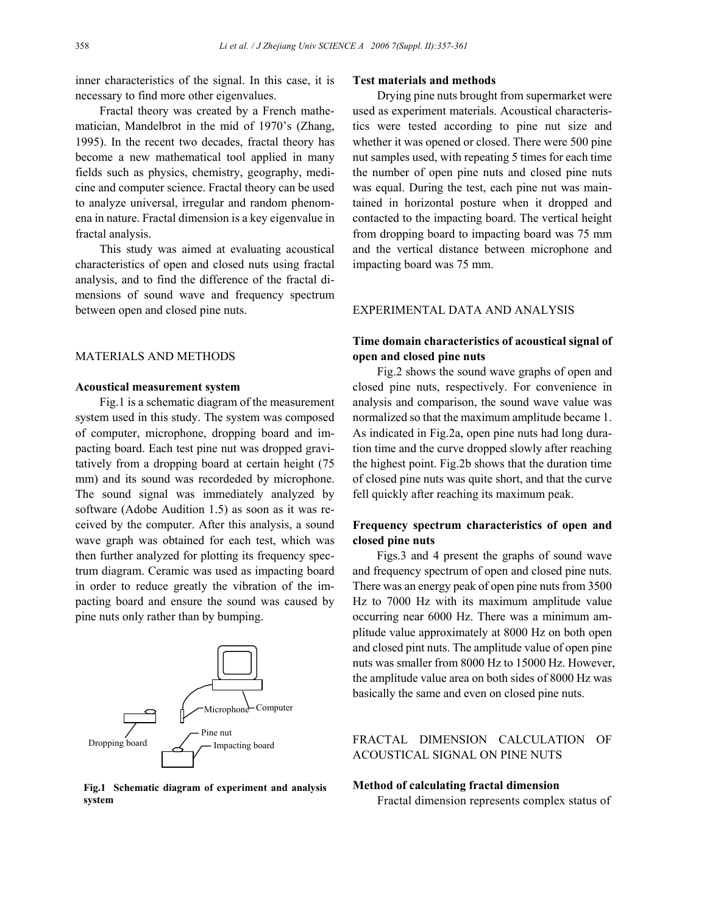inner characteristics of the signal. In this case, it is necessary to find more other eigenvalues.

Fractal theory was created by a French mathematician, Mandelbrot in the mid of 1970's (Zhang, 1995). In the recent two decades, fractal theory has become a new mathematical tool applied in many fields such as physics, chemistry, geography, medicine and computer science. Fractal theory can be used to analyze universal, irregular and random phenomena in nature. Fractal dimension is a key eigenvalue in fractal analysis.

This study was aimed at evaluating acoustical characteristics of open and closed nuts using fractal analysis, and to find the difference of the fractal dimensions of sound wave and frequency spectrum between open and closed pine nuts.

## MATERIALS AND METHODS

## **Acoustical measurement system**

Fig.1 is a schematic diagram of the measurement system used in this study. The system was composed of computer, microphone, dropping board and impacting board. Each test pine nut was dropped gravitatively from a dropping board at certain height (75 mm) and its sound was recordeded by microphone. The sound signal was immediately analyzed by software (Adobe Audition 1.5) as soon as it was received by the computer. After this analysis, a sound wave graph was obtained for each test, which was then further analyzed for plotting its frequency spectrum diagram. Ceramic was used as impacting board in order to reduce greatly the vibration of the impacting board and ensure the sound was caused by pine nuts only rather than by bumping.



**Fig.1 Schematic diagram of experiment and analysis system** 

#### **Test materials and methods**

Drying pine nuts brought from supermarket were used as experiment materials. Acoustical characteristics were tested according to pine nut size and whether it was opened or closed. There were 500 pine nut samples used, with repeating 5 times for each time the number of open pine nuts and closed pine nuts was equal. During the test, each pine nut was maintained in horizontal posture when it dropped and contacted to the impacting board. The vertical height from dropping board to impacting board was 75 mm and the vertical distance between microphone and impacting board was 75 mm.

## EXPERIMENTAL DATA AND ANALYSIS

# **Time domain characteristics of acoustical signal of open and closed pine nuts**

Fig.2 shows the sound wave graphs of open and closed pine nuts, respectively. For convenience in analysis and comparison, the sound wave value was normalized so that the maximum amplitude became 1. As indicated in Fig.2a, open pine nuts had long duration time and the curve dropped slowly after reaching the highest point. Fig.2b shows that the duration time of closed pine nuts was quite short, and that the curve fell quickly after reaching its maximum peak.

## **Frequency spectrum characteristics of open and closed pine nuts**

Figs.3 and 4 present the graphs of sound wave and frequency spectrum of open and closed pine nuts. There was an energy peak of open pine nuts from 3500 Hz to 7000 Hz with its maximum amplitude value occurring near 6000 Hz. There was a minimum amplitude value approximately at 8000 Hz on both open and closed pint nuts. The amplitude value of open pine nuts was smaller from 8000 Hz to 15000 Hz. However, the amplitude value area on both sides of 8000 Hz was basically the same and even on closed pine nuts.

# FRACTAL DIMENSION CALCULATION OF ACOUSTICAL SIGNAL ON PINE NUTS

#### **Method of calculating fractal dimension**

Fractal dimension represents complex status of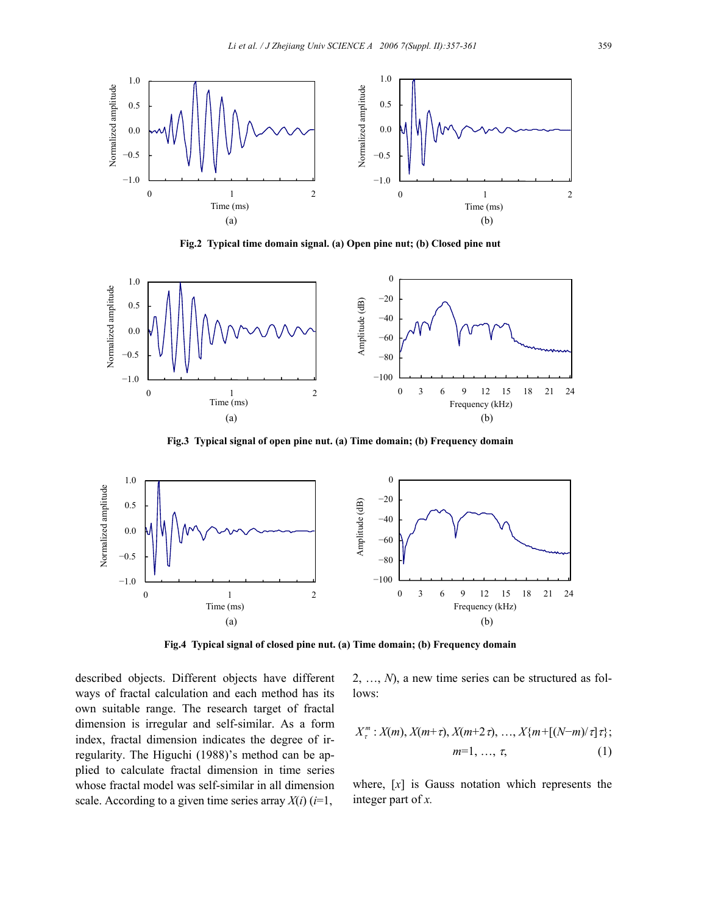

**Fig.2 Typical time domain signal. (a) Open pine nut; (b) Closed pine nut**



**Fig.3 Typical signal of open pine nut. (a) Time domain; (b) Frequency domain** 



**Fig.4 Typical signal of closed pine nut. (a) Time domain; (b) Frequency domain** 

described objects. Different objects have different ways of fractal calculation and each method has its own suitable range. The research target of fractal dimension is irregular and self-similar. As a form index, fractal dimension indicates the degree of irregularity. The Higuchi (1988)'s method can be applied to calculate fractal dimension in time series whose fractal model was self-similar in all dimension scale. According to a given time series array  $X(i)$  ( $i=1$ ,

2, …, *N*), a new time series can be structured as follows:

$$
X_{\tau}^{m}: X(m), X(m+\tau), X(m+2\tau), ..., X\{m+[N-m)/\tau\};
$$
  
\n
$$
m=1, ..., \tau,
$$
 (1)

where, [*x*] is Gauss notation which represents the integer part of *x.*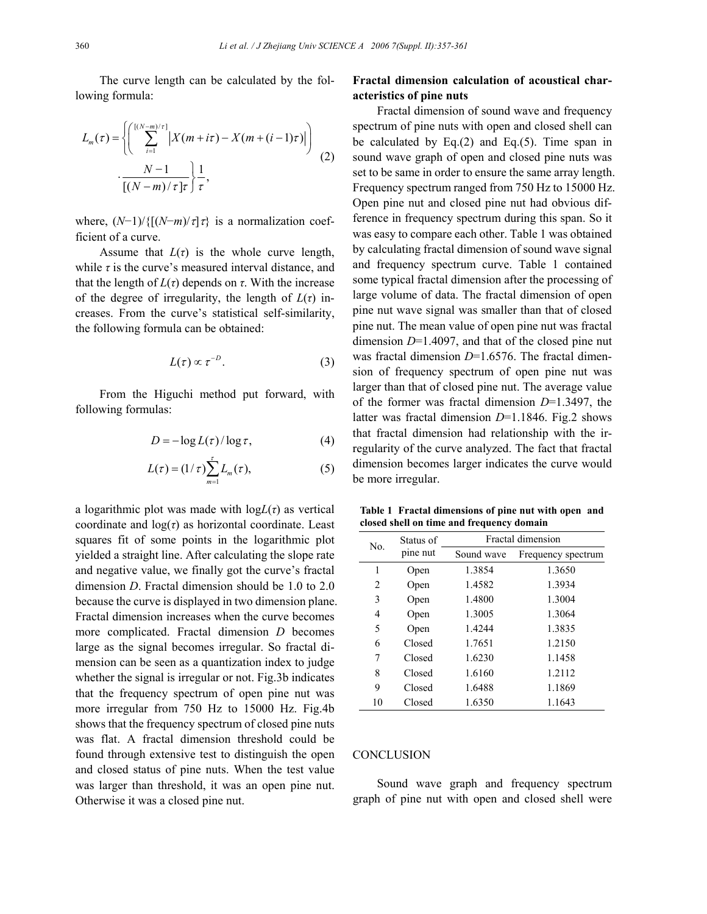The curve length can be calculated by the following formula:

$$
L_m(\tau) = \left\{ \left( \sum_{i=1}^{[(N-m)/\tau]} \left| X(m+i\tau) - X(m+(i-1)\tau) \right| \right) \right\}
$$
  

$$
\cdot \frac{N-1}{[(N-m)/\tau]\tau} \right\} \frac{1}{\tau},
$$
 (2)

where,  $(N-1)/\{[(N-m)/\tau]\tau\}$  is a normalization coefficient of a curve.

Assume that  $L(\tau)$  is the whole curve length, while  $\tau$  is the curve's measured interval distance, and that the length of  $L(\tau)$  depends on  $\tau$ . With the increase of the degree of irregularity, the length of  $L(\tau)$  increases. From the curve's statistical self-similarity, the following formula can be obtained:

$$
L(\tau) \propto \tau^{-D}.\tag{3}
$$

From the Higuchi method put forward, with following formulas:

$$
D = -\log L(\tau) / \log \tau, \tag{4}
$$

$$
L(\tau) = (1/\tau) \sum_{m=1}^{\tau} L_m(\tau),
$$
 (5)

a logarithmic plot was made with  $logL(\tau)$  as vertical coordinate and  $log(\tau)$  as horizontal coordinate. Least squares fit of some points in the logarithmic plot yielded a straight line. After calculating the slope rate and negative value, we finally got the curve's fractal dimension *D*. Fractal dimension should be 1.0 to 2.0 because the curve is displayed in two dimension plane. Fractal dimension increases when the curve becomes more complicated. Fractal dimension *D* becomes large as the signal becomes irregular. So fractal dimension can be seen as a quantization index to judge whether the signal is irregular or not. Fig.3b indicates that the frequency spectrum of open pine nut was more irregular from 750 Hz to 15000 Hz. Fig.4b shows that the frequency spectrum of closed pine nuts was flat. A fractal dimension threshold could be found through extensive test to distinguish the open and closed status of pine nuts. When the test value was larger than threshold, it was an open pine nut. Otherwise it was a closed pine nut.

# **Fractal dimension calculation of acoustical characteristics of pine nuts**

Fractal dimension of sound wave and frequency spectrum of pine nuts with open and closed shell can be calculated by  $Eq.(2)$  and  $Eq.(5)$ . Time span in sound wave graph of open and closed pine nuts was set to be same in order to ensure the same array length. Frequency spectrum ranged from 750 Hz to 15000 Hz. Open pine nut and closed pine nut had obvious difference in frequency spectrum during this span. So it was easy to compare each other. Table 1 was obtained by calculating fractal dimension of sound wave signal and frequency spectrum curve. Table 1 contained some typical fractal dimension after the processing of large volume of data. The fractal dimension of open pine nut wave signal was smaller than that of closed pine nut. The mean value of open pine nut was fractal dimension *D*=1.4097, and that of the closed pine nut was fractal dimension  $D=1.6576$ . The fractal dimension of frequency spectrum of open pine nut was larger than that of closed pine nut. The average value of the former was fractal dimension *D*=1.3497, the latter was fractal dimension *D*=1.1846. Fig.2 shows that fractal dimension had relationship with the irregularity of the curve analyzed. The fact that fractal dimension becomes larger indicates the curve would be more irregular.

**Table 1 Fractal dimensions of pine nut with open and closed shell on time and frequency domain** 

| No. | Status of<br>pine nut | Fractal dimension |                    |
|-----|-----------------------|-------------------|--------------------|
|     |                       | Sound wave        | Frequency spectrum |
| 1   | Open                  | 1.3854            | 1.3650             |
| 2   | Open                  | 1.4582            | 1.3934             |
| 3   | Open                  | 1.4800            | 1.3004             |
| 4   | Open                  | 1.3005            | 1.3064             |
| 5   | Open                  | 1.4244            | 1.3835             |
| 6   | Closed                | 1.7651            | 1.2150             |
| 7   | Closed                | 1.6230            | 1.1458             |
| 8   | Closed                | 1.6160            | 1.2112             |
| 9   | Closed                | 1.6488            | 1.1869             |
| 10  | Closed                | 1.6350            | 1.1643             |

#### **CONCLUSION**

Sound wave graph and frequency spectrum graph of pine nut with open and closed shell were